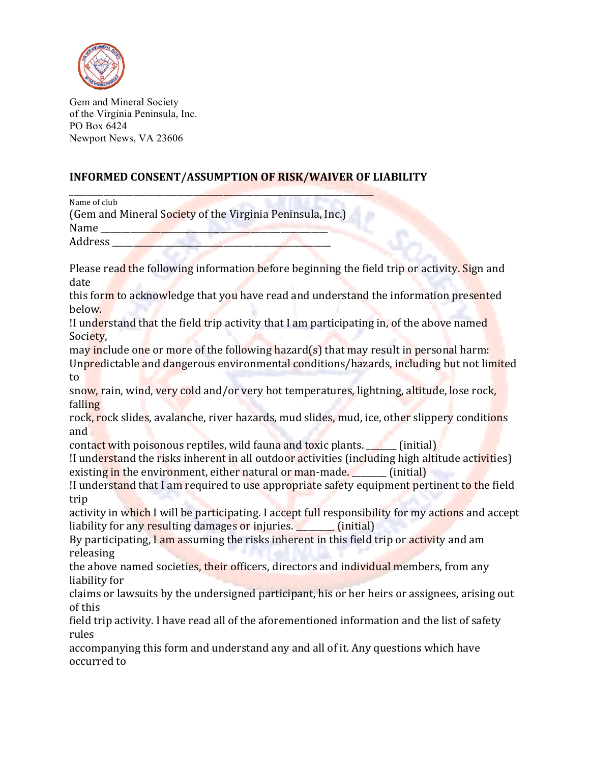

Gem and Mineral Society of the Virginia Peninsula, Inc. PO Box 6424 Newport News, VA 23606

## **INFORMED CONSENT/ASSUMPTION OF RISK/WAIVER OF LIABILITY**

\_\_\_\_\_\_\_\_\_\_\_\_\_\_\_\_\_\_\_\_\_\_\_\_\_\_\_\_\_\_\_\_\_\_\_\_\_\_\_\_\_\_\_\_\_\_\_\_\_\_\_\_\_\_\_\_\_\_\_\_\_\_\_\_\_\_\_\_\_\_\_ Name of club

(Gem and Mineral Society of the Virginia Peninsula, Inc.)

Name

Address

Please read the following information before beginning the field trip or activity. Sign and date

this form to acknowledge that you have read and understand the information presented below.

I understand that the field trip activity that I am participating in, of the above named Society,

may include one or more of the following hazard(s) that may result in personal harm: Unpredictable and dangerous environmental conditions/hazards, including but not limited to

snow, rain, wind, very cold and/or very hot temperatures, lightning, altitude, lose rock, falling

rock, rock slides, avalanche, river hazards, mud slides, mud, ice, other slippery conditions and

contact with poisonous reptiles, wild fauna and toxic plants.  $\Box$  (initial)

!I understand the risks inherent in all outdoor activities (including high altitude activities) existing in the environment, either natural or man-made.  $\qquad$  (initial)

If understand that I am required to use appropriate safety equipment pertinent to the field trip

activity in which I will be participating. I accept full responsibility for my actions and accept liability for any resulting damages or injuries. [initial]

By participating, I am assuming the risks inherent in this field trip or activity and am releasing

the above named societies, their officers, directors and individual members, from any liability for

claims or lawsuits by the undersigned participant, his or her heirs or assignees, arising out of this

field trip activity. I have read all of the aforementioned information and the list of safety rules

accompanying this form and understand any and all of it. Any questions which have occurred to